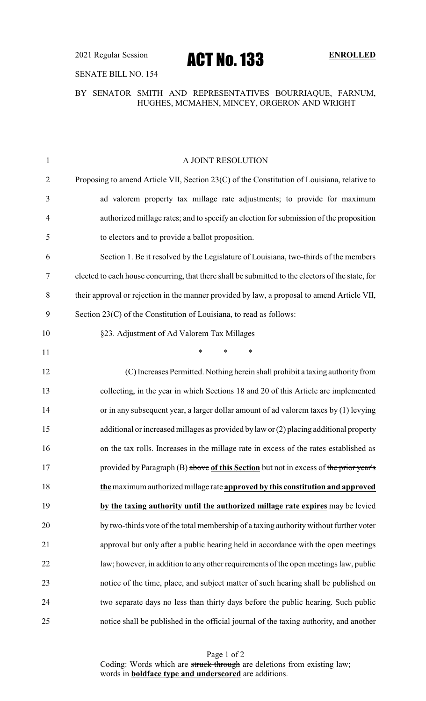## SENATE BILL NO. 154

## BY SENATOR SMITH AND REPRESENTATIVES BOURRIAQUE, FARNUM, HUGHES, MCMAHEN, MINCEY, ORGERON AND WRIGHT

| $\mathbf{1}$   | A JOINT RESOLUTION                                                                                |
|----------------|---------------------------------------------------------------------------------------------------|
| $\overline{2}$ | Proposing to amend Article VII, Section 23(C) of the Constitution of Louisiana, relative to       |
| 3              | ad valorem property tax millage rate adjustments; to provide for maximum                          |
| $\overline{4}$ | authorized millage rates; and to specify an election for submission of the proposition            |
| 5              | to electors and to provide a ballot proposition.                                                  |
| 6              | Section 1. Be it resolved by the Legislature of Louisiana, two-thirds of the members              |
| 7              | elected to each house concurring, that there shall be submitted to the electors of the state, for |
| 8              | their approval or rejection in the manner provided by law, a proposal to amend Article VII,       |
| 9              | Section 23(C) of the Constitution of Louisiana, to read as follows:                               |
| 10             | §23. Adjustment of Ad Valorem Tax Millages                                                        |
| 11             | $\ast$<br>*<br>$\ast$                                                                             |
| 12             | (C) Increases Permitted. Nothing herein shall prohibit a taxing authority from                    |
| 13             | collecting, in the year in which Sections 18 and 20 of this Article are implemented               |
| 14             | or in any subsequent year, a larger dollar amount of ad valorem taxes by (1) levying              |
| 15             | additional or increased millages as provided by law or (2) placing additional property            |
| 16             | on the tax rolls. Increases in the millage rate in excess of the rates established as             |
| 17             | provided by Paragraph (B) above of this Section but not in excess of the prior year's             |
| 18             | the maximum authorized millage rate approved by this constitution and approved                    |
| 19             | by the taxing authority until the authorized millage rate expires may be levied                   |
| 20             | by two-thirds vote of the total membership of a taxing authority without further voter            |
| 21             | approval but only after a public hearing held in accordance with the open meetings                |
| 22             | law; however, in addition to any other requirements of the open meetings law, public              |
| 23             | notice of the time, place, and subject matter of such hearing shall be published on               |
| 24             | two separate days no less than thirty days before the public hearing. Such public                 |
| 25             | notice shall be published in the official journal of the taxing authority, and another            |

Page 1 of 2 Coding: Words which are struck through are deletions from existing law; words in **boldface type and underscored** are additions.